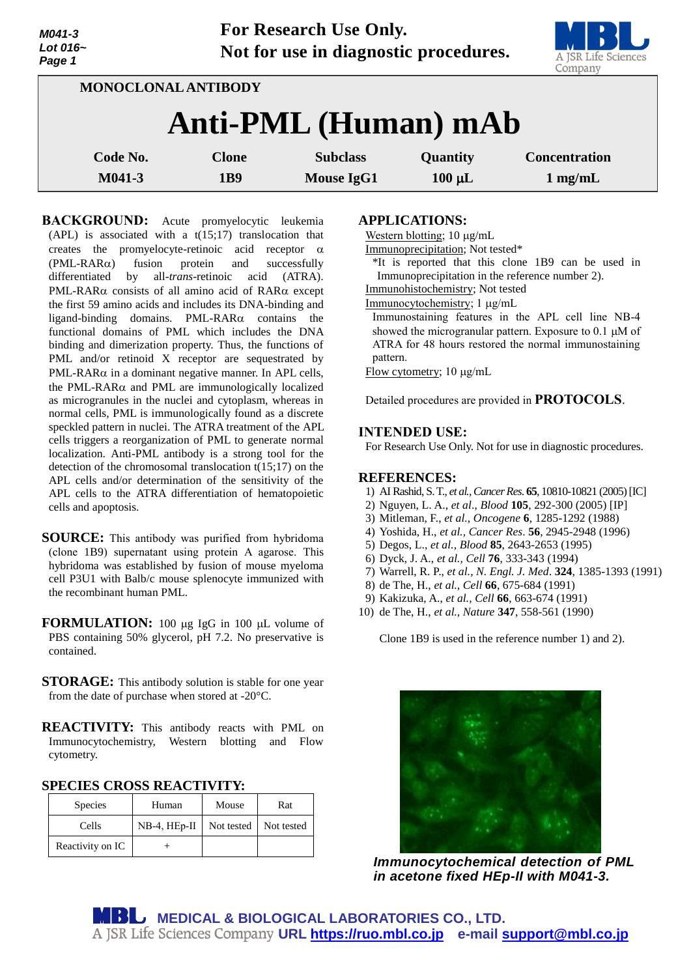*M041-3 Lot 016~ Page 1*

**For Research Use Only. Not for use in diagnostic procedures.**



| <b>MONOCLONAL ANTIBODY</b> |          |                 |                   |                 |                      |  |  |  |  |
|----------------------------|----------|-----------------|-------------------|-----------------|----------------------|--|--|--|--|
| Anti-PML (Human) mAb       |          |                 |                   |                 |                      |  |  |  |  |
|                            | Code No. | <b>Clone</b>    | <b>Subclass</b>   | <b>Quantity</b> | <b>Concentration</b> |  |  |  |  |
|                            | M041-3   | 1 <sub>B9</sub> | <b>Mouse IgG1</b> | $100 \mu L$     | $1$ mg/mL            |  |  |  |  |

**BACKGROUND:** Acute promyelocytic leukemia  $(APL)$  is associated with a  $t(15;17)$  translocation that creates the promyelocyte-retinoic acid receptor  $\alpha$  $(PML-RAR\alpha)$  fusion protein and successfully differentiated by all-*trans*-retinoic acid (ATRA). PML-RAR $\alpha$  consists of all amino acid of RAR $\alpha$  except the first 59 amino acids and includes its DNA-binding and ligand-binding domains. PML-RAR $\alpha$  contains the functional domains of PML which includes the DNA binding and dimerization property. Thus, the functions of PML and/or retinoid X receptor are sequestrated by PML-RAR $\alpha$  in a dominant negative manner. In APL cells, the PML-RAR $\alpha$  and PML are immunologically localized as microgranules in the nuclei and cytoplasm, whereas in normal cells, PML is immunologically found as a discrete speckled pattern in nuclei. The ATRA treatment of the APL cells triggers a reorganization of PML to generate normal localization. Anti-PML antibody is a strong tool for the detection of the chromosomal translocation t(15;17) on the APL cells and/or determination of the sensitivity of the APL cells to the ATRA differentiation of hematopoietic cells and apoptosis.

**SOURCE:** This antibody was purified from hybridoma (clone 1B9) supernatant using protein A agarose. This hybridoma was established by fusion of mouse myeloma cell P3U1 with Balb/c mouse splenocyte immunized with the recombinant human PML.

**FORMULATION:** 100 µg IgG in 100 µL volume of PBS containing 50% glycerol, pH 7.2. No preservative is contained.

**STORAGE:** This antibody solution is stable for one year from the date of purchase when stored at -20°C.

**REACTIVITY:** This antibody reacts with PML on Immunocytochemistry, Western blotting and Flow cytometry.

**SPECIES CROSS REACTIVITY:** 

| <b>Species</b>   | Human          | Mouse                 | Rat |
|------------------|----------------|-----------------------|-----|
| Cells            | $NB-4, HEp-II$ | Not tested Not tested |     |
| Reactivity on IC |                |                       |     |

## **APPLICATIONS:**

Western blotting;  $10 \mu g/mL$ 

Immunoprecipitation; Not tested\*

\*It is reported that this clone 1B9 can be used in Immunoprecipitation in the reference number 2).

Immunohistochemistry; Not tested

Immunocytochemistry; 1 µg/mL

Immunostaining features in the APL cell line NB-4 showed the microgranular pattern. Exposure to  $0.1 \mu M$  of ATRA for 48 hours restored the normal immunostaining pattern.

Flow cytometry;  $10 \mu g/mL$ 

Detailed procedures are provided in **PROTOCOLS**.

#### **INTENDED USE:**

For Research Use Only. Not for use in diagnostic procedures.

#### **REFERENCES:**

- 1) AI Rashid, S. T., *et al., Cancer Res*. **65**, 10810-10821 (2005)[IC]
- 2) Nguyen, L. A., *et al*., *Blood* **105**, 292-300 (2005) [IP]
- 3) Mitleman, F., *et al., Oncogene* **6**, 1285-1292 (1988)
- 4) Yoshida, H., *et al., Cancer Res*. **56**, 2945-2948 (1996)
- 5) Degos, L., *et al., Blood* **85**, 2643-2653 (1995)
- 6) Dyck, J. A., *et al., Cell* **76**, 333-343 (1994)
- 7) Warrell, R. P., *et al., N. Engl. J. Med*. **324**, 1385-1393 (1991)
- 8) de The, H., *et al., Cell* **66**, 675-684 (1991)
- 9) Kakizuka, A., *et al., Cell* **66**, 663-674 (1991)
- 10) de The, H., *et al., Nature* **347**, 558-561 (1990)

Clone 1B9 is used in the reference number 1) and 2).

*Immunocytochemical detection of PML in acetone fixed HEp-II with M041-3.*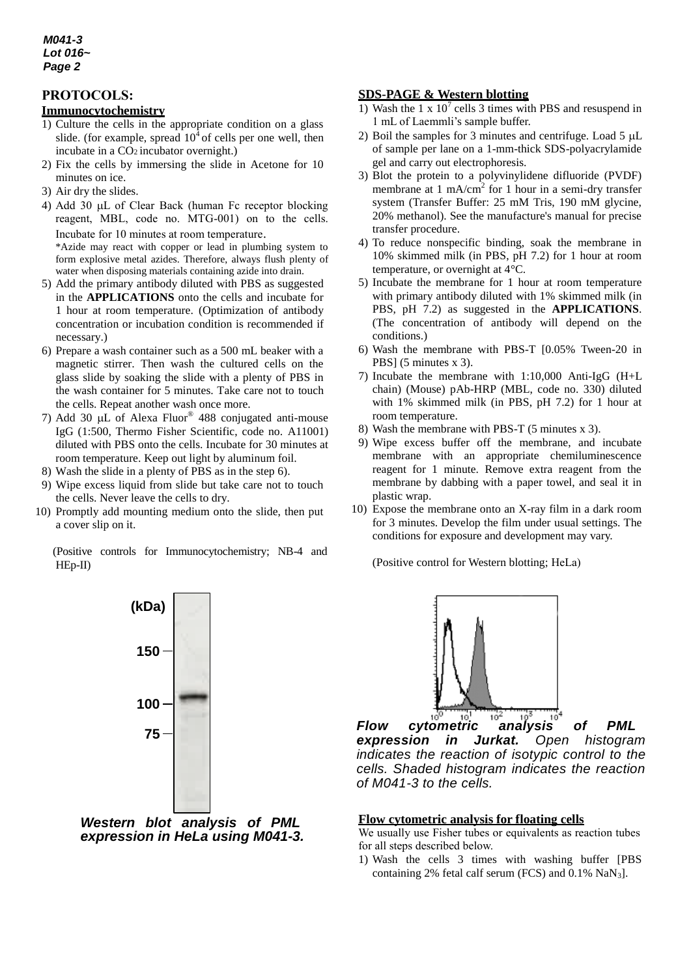### *M041-3 Lot 016~ Page 2*

# **PROTOCOLS:**

## **Immunocytochemistry**

- 1) Culture the cells in the appropriate condition on a glass slide. (for example, spread  $10<sup>4</sup>$  of cells per one well, then incubate in a CO2 incubator overnight.)
- 2) Fix the cells by immersing the slide in Acetone for 10 minutes on ice.
- 3) Air dry the slides.
- 4) Add 30  $\mu$ L of Clear Back (human Fc receptor blocking reagent, MBL, code no. MTG-001) on to the cells. Incubate for 10 minutes at room temperature.

\*Azide may react with copper or lead in plumbing system to form explosive metal azides. Therefore, always flush plenty of water when disposing materials containing azide into drain.

- 5) Add the primary antibody diluted with PBS as suggested in the **APPLICATIONS** onto the cells and incubate for 1 hour at room temperature. (Optimization of antibody concentration or incubation condition is recommended if necessary.)
- 6) Prepare a wash container such as a 500 mL beaker with a magnetic stirrer. Then wash the cultured cells on the glass slide by soaking the slide with a plenty of PBS in the wash container for 5 minutes. Take care not to touch the cells. Repeat another wash once more.
- 7) Add 30  $\mu$ L of Alexa Fluor® 488 conjugated anti-mouse IgG (1:500, Thermo Fisher Scientific, code no. A11001) diluted with PBS onto the cells. Incubate for 30 minutes at room temperature. Keep out light by aluminum foil.
- 8) Wash the slide in a plenty of PBS as in the step 6).
- 9) Wipe excess liquid from slide but take care not to touch the cells. Never leave the cells to dry.
- 10) Promptly add mounting medium onto the slide, then put a cover slip on it.

(Positive controls for Immunocytochemistry; NB-4 and HEp-II)



*Western blot analysis of PML expression in HeLa using M041-3.*

## **SDS-PAGE & Western blotting**

- 1) Wash the 1 x  $10^7$  cells 3 times with PBS and resuspend in 1 mL of Laemmli's sample buffer.
- 2) Boil the samples for 3 minutes and centrifuge. Load 5  $\mu$ L of sample per lane on a 1-mm-thick SDS-polyacrylamide gel and carry out electrophoresis.
- 3) Blot the protein to a polyvinylidene difluoride (PVDF) membrane at 1 mA/cm<sup>2</sup> for 1 hour in a semi-dry transfer system (Transfer Buffer: 25 mM Tris, 190 mM glycine, 20% methanol). See the manufacture's manual for precise transfer procedure.
- 4) To reduce nonspecific binding, soak the membrane in 10% skimmed milk (in PBS, pH 7.2) for 1 hour at room temperature, or overnight at 4°C.
- 5) Incubate the membrane for 1 hour at room temperature with primary antibody diluted with 1% skimmed milk (in PBS, pH 7.2) as suggested in the **APPLICATIONS**. (The concentration of antibody will depend on the conditions.)
- 6) Wash the membrane with PBS-T [0.05% Tween-20 in PBS] (5 minutes x 3).
- 7) Incubate the membrane with 1:10,000 Anti-IgG (H+L chain) (Mouse) pAb-HRP (MBL, code no. 330) diluted with 1% skimmed milk (in PBS, pH 7.2) for 1 hour at room temperature.
- 8) Wash the membrane with PBS-T (5 minutes x 3).
- 9) Wipe excess buffer off the membrane, and incubate membrane with an appropriate chemiluminescence reagent for 1 minute. Remove extra reagent from the membrane by dabbing with a paper towel, and seal it in plastic wrap.
- 10) Expose the membrane onto an X-ray film in a dark room for 3 minutes. Develop the film under usual settings. The conditions for exposure and development may vary.

(Positive control for Western blotting; HeLa)



*Flow cytometric analysis of PML expression in Jurkat. Open histogram indicates the reaction of isotypic control to the cells. Shaded histogram indicates the reaction of M041-3 to the cells.*

#### **Flow cytometric analysis for floating cells**

We usually use Fisher tubes or equivalents as reaction tubes for all steps described below.

1) Wash the cells 3 times with washing buffer [PBS containing 2% fetal calf serum (FCS) and  $0.1\%$  NaN<sub>3</sub>].